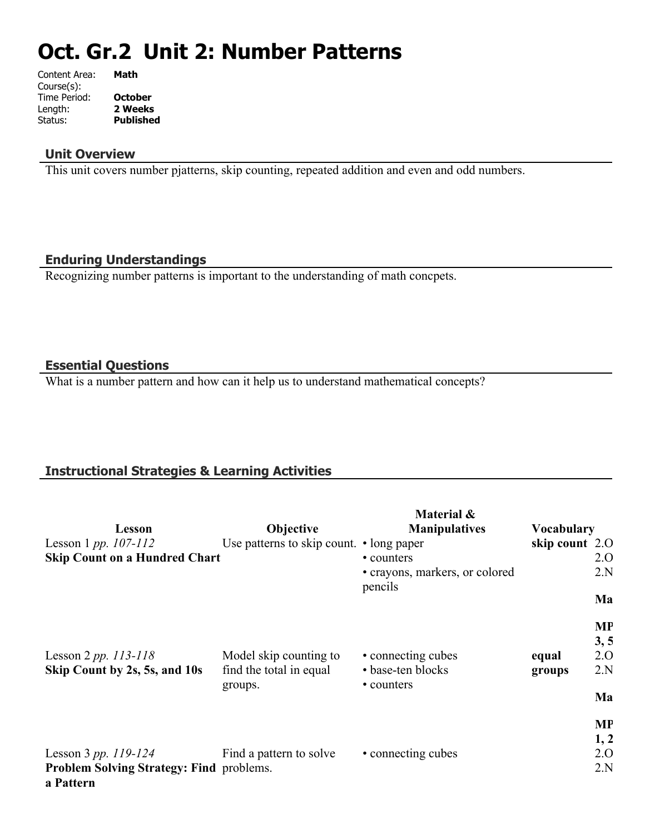# **Oct. Gr.2 Unit 2: Number Patterns**

| Content Area: | Math             |
|---------------|------------------|
| Course(s):    |                  |
| Time Period:  | <b>October</b>   |
| Length:       | 2 Weeks          |
| Status:       | <b>Published</b> |
|               |                  |

#### **Unit Overview**

This unit covers number pjatterns, skip counting, repeated addition and even and odd numbers.

#### **Enduring Understandings**

Recognizing number patterns is important to the understanding of math concpets.

#### **Essential Questions**

What is a number pattern and how can it help us to understand mathematical concepts?

### **Instructional Strategies & Learning Activities**

| Lesson                                                       | Objective                                | Material &<br><b>Manipulatives</b>        | <b>Vocabulary</b> |           |
|--------------------------------------------------------------|------------------------------------------|-------------------------------------------|-------------------|-----------|
| Lesson 1 pp. $107 - 112$                                     | Use patterns to skip count. • long paper |                                           | skip count 2.0    |           |
| <b>Skip Count on a Hundred Chart</b>                         |                                          | • counters                                |                   | 2.O       |
|                                                              |                                          | • crayons, markers, or colored<br>pencils |                   | 2.N       |
|                                                              |                                          |                                           |                   | Ma        |
|                                                              |                                          |                                           |                   | <b>MP</b> |
|                                                              |                                          |                                           |                   | 3, 5      |
| Lesson 2 pp. $113 - 118$                                     | Model skip counting to                   | • connecting cubes                        | equal             | 2.0       |
| Skip Count by 2s, 5s, and 10s                                | find the total in equal<br>groups.       | • base-ten blocks<br>• counters           | groups            | 2.N       |
|                                                              |                                          |                                           |                   | Ma        |
|                                                              |                                          |                                           |                   | <b>MP</b> |
|                                                              |                                          |                                           |                   | 1, 2      |
| Lesson 3 pp. $119-124$                                       | Find a pattern to solve                  | • connecting cubes                        |                   | 2.0       |
| <b>Problem Solving Strategy: Find problems.</b><br>a Pattern |                                          |                                           |                   | 2.N       |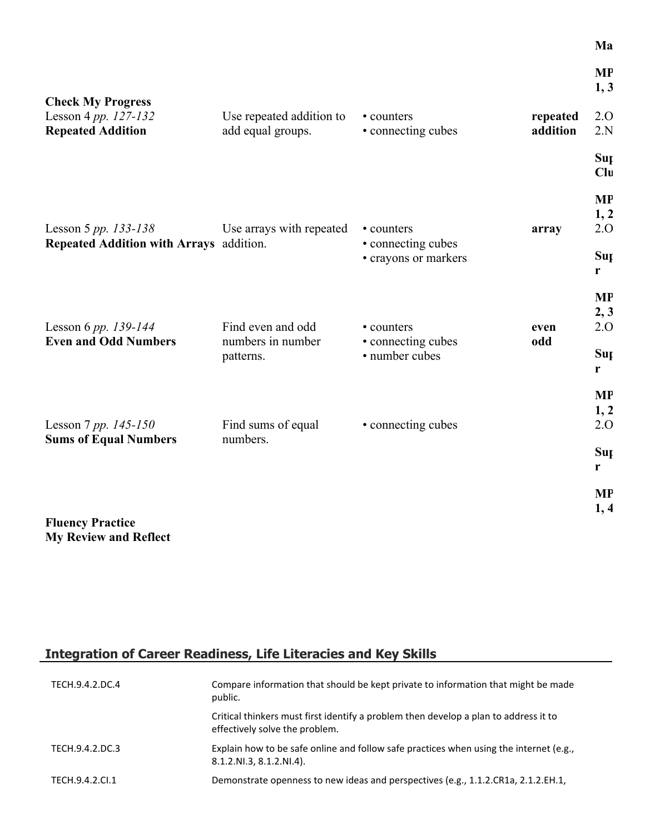|                                                                              |                                                     |                                                    |                      | <b>MP</b><br>1, 3        |
|------------------------------------------------------------------------------|-----------------------------------------------------|----------------------------------------------------|----------------------|--------------------------|
| <b>Check My Progress</b><br>Lesson 4 pp. 127-132<br><b>Repeated Addition</b> | Use repeated addition to<br>add equal groups.       | • counters<br>• connecting cubes                   | repeated<br>addition | 2.0<br>2.N               |
|                                                                              |                                                     |                                                    |                      | Sup<br>Clu               |
| Lesson 5 pp. 133-138                                                         | Use arrays with repeated                            | • counters                                         | array                | <b>MP</b><br>1, 2<br>2.0 |
| Repeated Addition with Arrays addition.                                      |                                                     | • connecting cubes<br>• crayons or markers         |                      | Sup<br>r                 |
|                                                                              |                                                     |                                                    |                      | <b>MP</b><br>2, 3        |
| Lesson 6 pp. 139-144<br><b>Even and Odd Numbers</b>                          | Find even and odd<br>numbers in number<br>patterns. | • counters<br>• connecting cubes<br>• number cubes | even<br>odd          | 2.0<br>Sup<br>r          |
|                                                                              |                                                     | • connecting cubes                                 |                      | <b>MP</b><br>1, 2<br>2.0 |
| Lesson 7 pp. $145 - 150$<br><b>Sums of Equal Numbers</b>                     | Find sums of equal<br>numbers.                      |                                                    |                      | Sup<br>r                 |
|                                                                              |                                                     |                                                    |                      | <b>MP</b><br>1, 4        |
| <b>Fluency Practice</b>                                                      |                                                     |                                                    |                      |                          |

**Ma** 

# **Integration of Career Readiness, Life Literacies and Key Skills**

**My Review and Reflect**

| TECH.9.4.2.DC.4 | Compare information that should be kept private to information that might be made<br>public.                           |
|-----------------|------------------------------------------------------------------------------------------------------------------------|
|                 | Critical thinkers must first identify a problem then develop a plan to address it to<br>effectively solve the problem. |
| TECH.9.4.2.DC.3 | Explain how to be safe online and follow safe practices when using the internet (e.g.,<br>8.1.2.NI.3, 8.1.2.NI.4).     |
| TECH.9.4.2.Cl.1 | Demonstrate openness to new ideas and perspectives (e.g., 1.1.2.CR1a, 2.1.2.EH.1,                                      |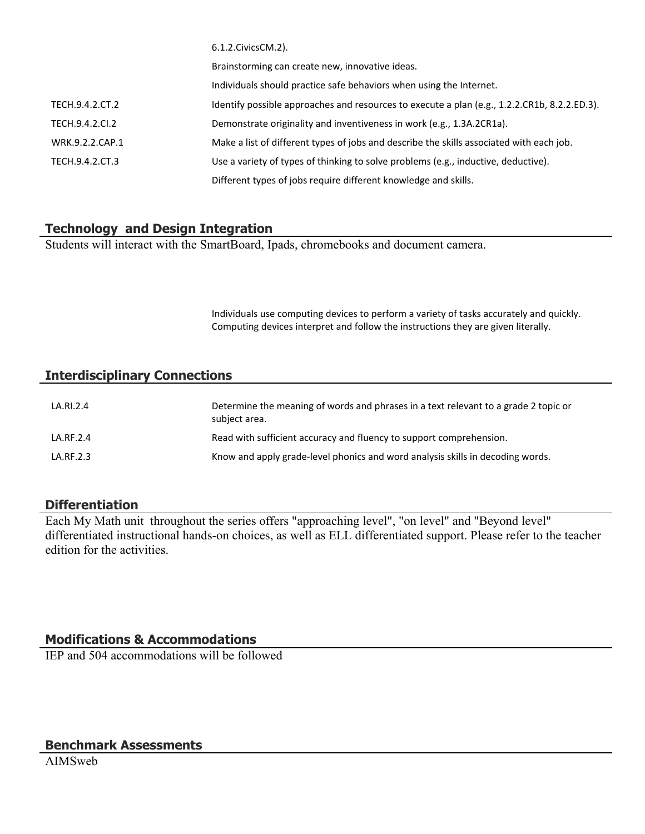|                 | b.1.2.CIVICSCIVI.2).                                                                         |
|-----------------|----------------------------------------------------------------------------------------------|
|                 | Brainstorming can create new, innovative ideas.                                              |
|                 | Individuals should practice safe behaviors when using the Internet.                          |
| TECH.9.4.2.CT.2 | Identify possible approaches and resources to execute a plan (e.g., 1.2.2.CR1b, 8.2.2.ED.3). |
| TECH.9.4.2.CI.2 | Demonstrate originality and inventiveness in work (e.g., 1.3A.2CR1a).                        |
| WRK.9.2.2.CAP.1 | Make a list of different types of jobs and describe the skills associated with each job.     |
| TECH.9.4.2.CT.3 | Use a variety of types of thinking to solve problems (e.g., inductive, deductive).           |
|                 | Different types of jobs require different knowledge and skills.                              |

#### **Technology and Design Integration**

Students will interact with the SmartBoard, Ipads, chromebooks and document camera.

 $6.2.2.2$ 

Individuals use computing devices to perform a variety of tasks accurately and quickly. Computing devices interpret and follow the instructions they are given literally.

#### **Interdisciplinary Connections**

| LA.RI.2.4 | Determine the meaning of words and phrases in a text relevant to a grade 2 topic or<br>subject area. |
|-----------|------------------------------------------------------------------------------------------------------|
| LA.RF.2.4 | Read with sufficient accuracy and fluency to support comprehension.                                  |
| LA.RF.2.3 | Know and apply grade-level phonics and word analysis skills in decoding words.                       |

#### **Differentiation**

Each My Math unit throughout the series offers "approaching level", "on level" and "Beyond level" differentiated instructional hands-on choices, as well as ELL differentiated support. Please refer to the teacher edition for the activities.

#### **Modifications & Accommodations**

IEP and 504 accommodations will be followed

#### **Benchmark Assessments**

AIMSweb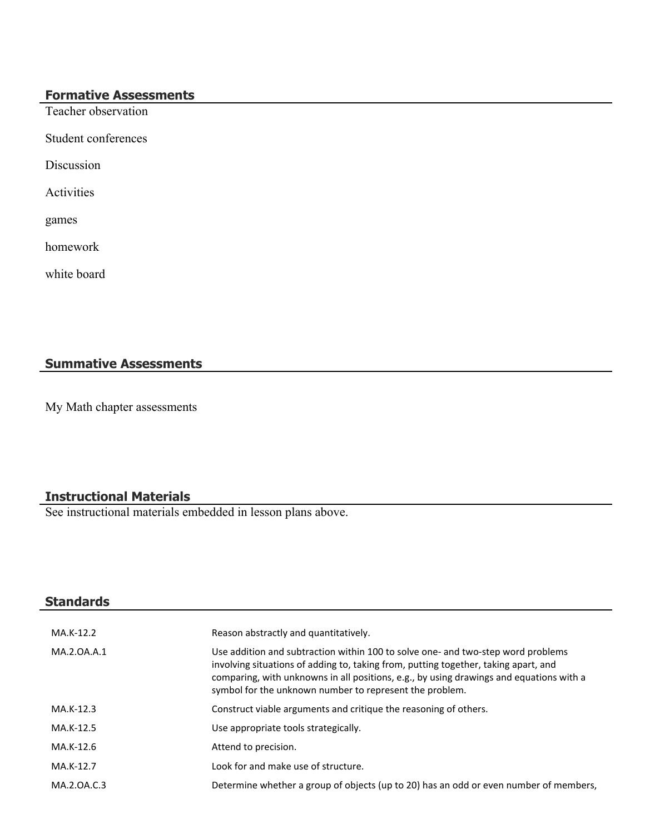## **Formative Assessments**

Teacher observation

Student conferences

Discussion

Activities

games

homework

white board

# **Summative Assessments**

My Math chapter assessments

# **Instructional Materials**

See instructional materials embedded in lesson plans above.

| <b>Standards</b> |                                                                                                                                                                                                                                                                                                                               |
|------------------|-------------------------------------------------------------------------------------------------------------------------------------------------------------------------------------------------------------------------------------------------------------------------------------------------------------------------------|
| MA.K-12.2        | Reason abstractly and quantitatively.                                                                                                                                                                                                                                                                                         |
| MA.2.0A.A.1      | Use addition and subtraction within 100 to solve one- and two-step word problems<br>involving situations of adding to, taking from, putting together, taking apart, and<br>comparing, with unknowns in all positions, e.g., by using drawings and equations with a<br>symbol for the unknown number to represent the problem. |
| MA.K-12.3        | Construct viable arguments and critique the reasoning of others.                                                                                                                                                                                                                                                              |
| MA.K-12.5        | Use appropriate tools strategically.                                                                                                                                                                                                                                                                                          |
| MA.K-12.6        | Attend to precision.                                                                                                                                                                                                                                                                                                          |
| MA.K-12.7        | Look for and make use of structure.                                                                                                                                                                                                                                                                                           |
| MA.2.0A.C.3      | Determine whether a group of objects (up to 20) has an odd or even number of members,                                                                                                                                                                                                                                         |